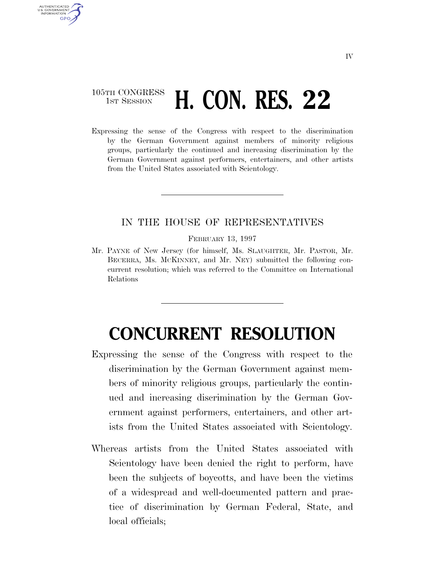## 105TH CONGRESS **1st Session H. CON. RES. 22**

AUTHENTICATED U.S. GOVERNMENT **GPO** 

> Expressing the sense of the Congress with respect to the discrimination by the German Government against members of minority religious groups, particularly the continued and increasing discrimination by the German Government against performers, entertainers, and other artists from the United States associated with Scientology.

## IN THE HOUSE OF REPRESENTATIVES

FEBRUARY 13, 1997

Mr. PAYNE of New Jersey (for himself, Ms. SLAUGHTER, Mr. PASTOR, Mr. BECERRA, Ms. MCKINNEY, and Mr. NEY) submitted the following concurrent resolution; which was referred to the Committee on International Relations

## **CONCURRENT RESOLUTION**

- Expressing the sense of the Congress with respect to the discrimination by the German Government against members of minority religious groups, particularly the continued and increasing discrimination by the German Government against performers, entertainers, and other artists from the United States associated with Scientology.
- Whereas artists from the United States associated with Scientology have been denied the right to perform, have been the subjects of boycotts, and have been the victims of a widespread and well-documented pattern and practice of discrimination by German Federal, State, and local officials;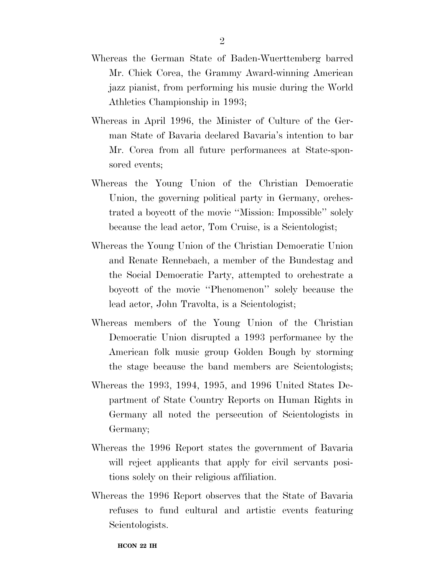- Whereas the German State of Baden-Wuerttemberg barred Mr. Chick Corea, the Grammy Award-winning American jazz pianist, from performing his music during the World Athletics Championship in 1993;
- Whereas in April 1996, the Minister of Culture of the German State of Bavaria declared Bavaria's intention to bar Mr. Corea from all future performances at State-sponsored events;
- Whereas the Young Union of the Christian Democratic Union, the governing political party in Germany, orchestrated a boycott of the movie ''Mission: Impossible'' solely because the lead actor, Tom Cruise, is a Scientologist;
- Whereas the Young Union of the Christian Democratic Union and Renate Rennebach, a member of the Bundestag and the Social Democratic Party, attempted to orchestrate a boycott of the movie ''Phenomenon'' solely because the lead actor, John Travolta, is a Scientologist;
- Whereas members of the Young Union of the Christian Democratic Union disrupted a 1993 performance by the American folk music group Golden Bough by storming the stage because the band members are Scientologists;
- Whereas the 1993, 1994, 1995, and 1996 United States Department of State Country Reports on Human Rights in Germany all noted the persecution of Scientologists in Germany;
- Whereas the 1996 Report states the government of Bavaria will reject applicants that apply for civil servants positions solely on their religious affiliation.
- Whereas the 1996 Report observes that the State of Bavaria refuses to fund cultural and artistic events featuring Scientologists.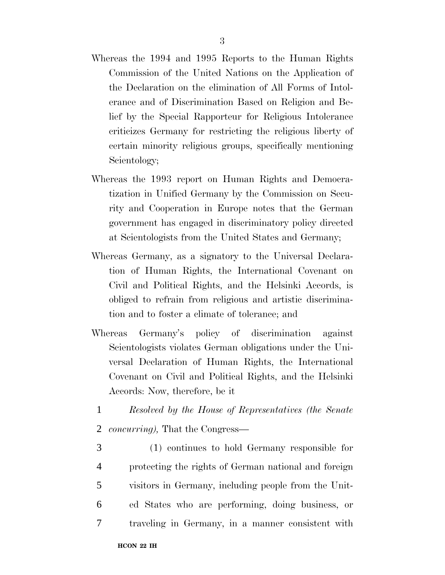- Whereas the 1994 and 1995 Reports to the Human Rights Commission of the United Nations on the Application of the Declaration on the elimination of All Forms of Intolerance and of Discrimination Based on Religion and Belief by the Special Rapporteur for Religious Intolerance criticizes Germany for restricting the religious liberty of certain minority religious groups, specifically mentioning Scientology;
- Whereas the 1993 report on Human Rights and Democratization in Unified Germany by the Commission on Security and Cooperation in Europe notes that the German government has engaged in discriminatory policy directed at Scientologists from the United States and Germany;
- Whereas Germany, as a signatory to the Universal Declaration of Human Rights, the International Covenant on Civil and Political Rights, and the Helsinki Accords, is obliged to refrain from religious and artistic discrimination and to foster a climate of tolerance; and
- Whereas Germany's policy of discrimination against Scientologists violates German obligations under the Universal Declaration of Human Rights, the International Covenant on Civil and Political Rights, and the Helsinki Accords: Now, therefore, be it
	- 1 *Resolved by the House of Representatives (the Senate*
	- 2 *concurring),* That the Congress—
- 3 (1) continues to hold Germany responsible for 4 protecting the rights of German national and foreign 5 visitors in Germany, including people from the Unit-6 ed States who are performing, doing business, or 7 traveling in Germany, in a manner consistent with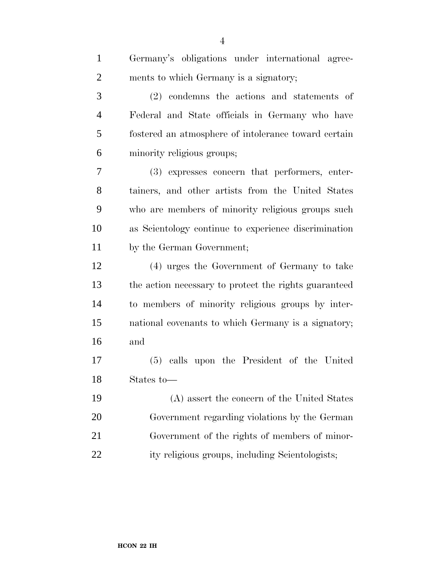| $\mathbf{1}$   | Germany's obligations under international agree-      |
|----------------|-------------------------------------------------------|
| $\overline{2}$ | ments to which Germany is a signatory;                |
| 3              | (2) condemns the actions and statements of            |
| $\overline{4}$ | Federal and State officials in Germany who have       |
| 5              | fostered an atmosphere of intolerance toward certain  |
| 6              | minority religious groups;                            |
| 7              | (3) expresses concern that performers, enter-         |
| $8\,$          | tainers, and other artists from the United States     |
| 9              | who are members of minority religious groups such     |
| 10             | as Scientology continue to experience discrimination  |
| 11             | by the German Government;                             |
| 12             | (4) urges the Government of Germany to take           |
| 13             | the action necessary to protect the rights guaranteed |
| 14             | to members of minority religious groups by inter-     |
| 15             | national covenants to which Germany is a signatory;   |
| 16             | and                                                   |
| 17             | calls upon the President of the United<br>(5)         |
| 18             | States to-                                            |
| 19             | (A) assert the concern of the United States           |
| 20             | Government regarding violations by the German         |
| 21             | Government of the rights of members of minor-         |
| 22             | ity religious groups, including Scientologists;       |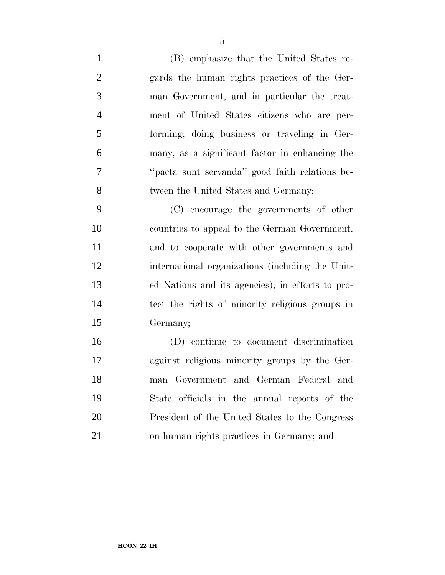(B) emphasize that the United States re- gards the human rights practices of the Ger- man Government, and in particular the treat- ment of United States citizens who are per- forming, doing business or traveling in Ger- many, as a significant factor in enhancing the ''pacta sunt servanda'' good faith relations be-tween the United States and Germany;

 (C) encourage the governments of other countries to appeal to the German Government, and to cooperate with other governments and international organizations (including the Unit- ed Nations and its agencies), in efforts to pro- tect the rights of minority religious groups in Germany;

 (D) continue to document discrimination against religious minority groups by the Ger- man Government and German Federal and State officials in the annual reports of the President of the United States to the Congress on human rights practices in Germany; and